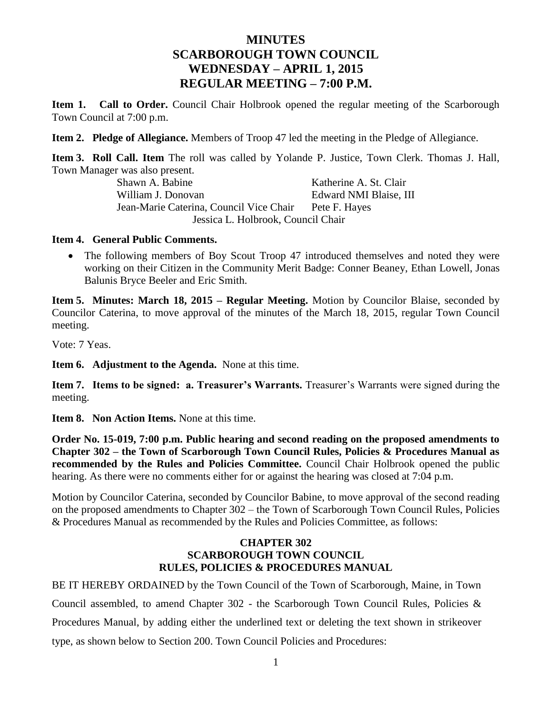# **MINUTES SCARBOROUGH TOWN COUNCIL WEDNESDAY – APRIL 1, 2015 REGULAR MEETING – 7:00 P.M.**

**Item 1. Call to Order.** Council Chair Holbrook opened the regular meeting of the Scarborough Town Council at 7:00 p.m.

**Item 2. Pledge of Allegiance.** Members of Troop 47 led the meeting in the Pledge of Allegiance.

**Item 3. Roll Call. Item** The roll was called by Yolande P. Justice, Town Clerk. Thomas J. Hall, Town Manager was also present.

Shawn A. Babine Katherine A. St. Clair William J. Donovan **Edward NMI Blaise**, III Jean-Marie Caterina, Council Vice Chair Pete F. Hayes Jessica L. Holbrook, Council Chair

### **Item 4. General Public Comments.**

• The following members of Boy Scout Troop 47 introduced themselves and noted they were working on their Citizen in the Community Merit Badge: Conner Beaney, Ethan Lowell, Jonas Balunis Bryce Beeler and Eric Smith.

**Item 5. Minutes: March 18, 2015 – Regular Meeting.** Motion by Councilor Blaise, seconded by Councilor Caterina, to move approval of the minutes of the March 18, 2015, regular Town Council meeting.

Vote: 7 Yeas.

**Item 6. Adjustment to the Agenda.** None at this time.

**Item 7. Items to be signed: a. Treasurer's Warrants.** Treasurer's Warrants were signed during the meeting.

**Item 8. Non Action Items.** None at this time.

**Order No. 15-019, 7:00 p.m. Public hearing and second reading on the proposed amendments to Chapter 302 – the Town of Scarborough Town Council Rules, Policies & Procedures Manual as recommended by the Rules and Policies Committee.** Council Chair Holbrook opened the public hearing. As there were no comments either for or against the hearing was closed at 7:04 p.m.

Motion by Councilor Caterina, seconded by Councilor Babine, to move approval of the second reading on the proposed amendments to Chapter 302 – the Town of Scarborough Town Council Rules, Policies & Procedures Manual as recommended by the Rules and Policies Committee, as follows:

### **CHAPTER 302 SCARBOROUGH TOWN COUNCIL RULES, POLICIES & PROCEDURES MANUAL**

BE IT HEREBY ORDAINED by the Town Council of the Town of Scarborough, Maine, in Town Council assembled, to amend Chapter 302 - the Scarborough Town Council Rules, Policies & Procedures Manual, by adding either the underlined text or deleting the text shown in strikeover type, as shown below to Section 200. Town Council Policies and Procedures: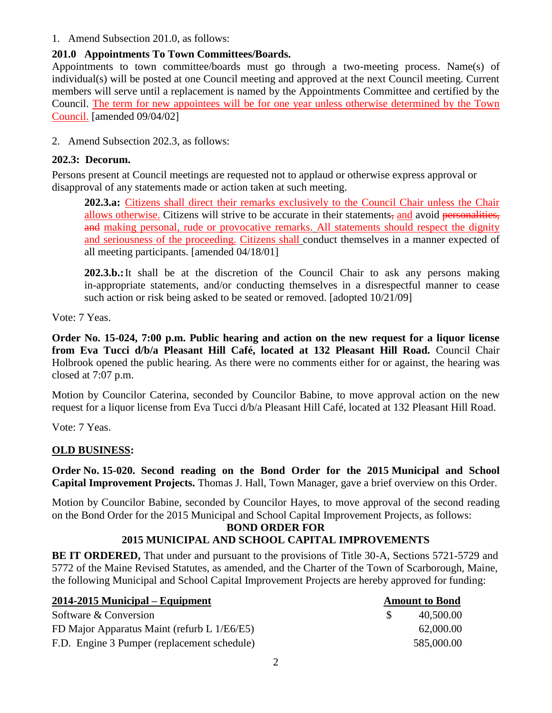1. Amend Subsection 201.0, as follows:

### **201.0 Appointments To Town Committees/Boards.**

Appointments to town committee/boards must go through a two-meeting process. Name(s) of individual(s) will be posted at one Council meeting and approved at the next Council meeting. Current members will serve until a replacement is named by the Appointments Committee and certified by the Council. The term for new appointees will be for one year unless otherwise determined by the Town Council. [amended 09/04/02]

2. Amend Subsection 202.3, as follows:

### **202.3: Decorum.**

Persons present at Council meetings are requested not to applaud or otherwise express approval or disapproval of any statements made or action taken at such meeting.

**202.3.a:** Citizens shall direct their remarks exclusively to the Council Chair unless the Chair allows otherwise. Citizens will strive to be accurate in their statements, and avoid personalities, and making personal, rude or provocative remarks. All statements should respect the dignity and seriousness of the proceeding. Citizens shall conduct themselves in a manner expected of all meeting participants. [amended 04/18/01]

**202.3.b.:**It shall be at the discretion of the Council Chair to ask any persons making in-appropriate statements, and/or conducting themselves in a disrespectful manner to cease such action or risk being asked to be seated or removed. [adopted  $10/21/09$ ]

Vote: 7 Yeas.

**Order No. 15-024, 7:00 p.m. Public hearing and action on the new request for a liquor license from Eva Tucci d/b/a Pleasant Hill Café, located at 132 Pleasant Hill Road.** Council Chair Holbrook opened the public hearing. As there were no comments either for or against, the hearing was closed at 7:07 p.m.

Motion by Councilor Caterina, seconded by Councilor Babine, to move approval action on the new request for a liquor license from Eva Tucci d/b/a Pleasant Hill Café, located at 132 Pleasant Hill Road.

Vote: 7 Yeas.

# **OLD BUSINESS:**

**Order No. 15-020. Second reading on the Bond Order for the 2015 Municipal and School Capital Improvement Projects.** Thomas J. Hall, Town Manager, gave a brief overview on this Order.

Motion by Councilor Babine, seconded by Councilor Hayes, to move approval of the second reading on the Bond Order for the 2015 Municipal and School Capital Improvement Projects, as follows:

#### **BOND ORDER FOR 2015 MUNICIPAL AND SCHOOL CAPITAL IMPROVEMENTS**

**BE IT ORDERED,** That under and pursuant to the provisions of Title 30-A, Sections 5721-5729 and 5772 of the Maine Revised Statutes, as amended, and the Charter of the Town of Scarborough, Maine, the following Municipal and School Capital Improvement Projects are hereby approved for funding:

| $2014 - 2015$ Municipal – Equipment         | <b>Amount to Bond</b> |
|---------------------------------------------|-----------------------|
| Software & Conversion                       | 40,500.00             |
| FD Major Apparatus Maint (refurb L 1/E6/E5) | 62,000.00             |
| F.D. Engine 3 Pumper (replacement schedule) | 585,000.00            |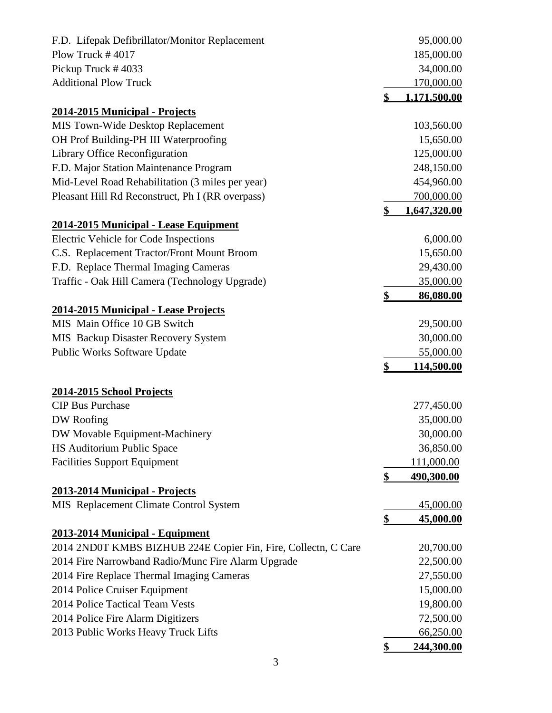| F.D. Lifepak Defibrillator/Monitor Replacement                 |                | 95,000.00         |
|----------------------------------------------------------------|----------------|-------------------|
| Plow Truck $#4017$                                             |                | 185,000.00        |
| Pickup Truck #4033                                             |                | 34,000.00         |
| <b>Additional Plow Truck</b>                                   |                | 170,000.00        |
|                                                                | $\mathbf{\$\}$ | 1,171,500.00      |
| 2014-2015 Municipal - Projects                                 |                |                   |
| MIS Town-Wide Desktop Replacement                              |                | 103,560.00        |
| OH Prof Building-PH III Waterproofing                          |                | 15,650.00         |
| Library Office Reconfiguration                                 |                | 125,000.00        |
| F.D. Major Station Maintenance Program                         |                | 248,150.00        |
| Mid-Level Road Rehabilitation (3 miles per year)               |                | 454,960.00        |
| Pleasant Hill Rd Reconstruct, Ph I (RR overpass)               |                | 700,000.00        |
|                                                                | \$             | 1,647,320.00      |
| 2014-2015 Municipal - Lease Equipment                          |                |                   |
| Electric Vehicle for Code Inspections                          |                | 6,000.00          |
| C.S. Replacement Tractor/Front Mount Broom                     |                | 15,650.00         |
| F.D. Replace Thermal Imaging Cameras                           |                | 29,430.00         |
| Traffic - Oak Hill Camera (Technology Upgrade)                 |                | 35,000.00         |
|                                                                | \$             | 86,080.00         |
| 2014-2015 Municipal - Lease Projects                           |                |                   |
| MIS Main Office 10 GB Switch                                   |                | 29,500.00         |
| MIS Backup Disaster Recovery System                            |                | 30,000.00         |
| Public Works Software Update                                   |                | 55,000.00         |
|                                                                | $\frac{1}{2}$  | 114,500.00        |
|                                                                |                |                   |
| 2014-2015 School Projects                                      |                |                   |
| <b>CIP Bus Purchase</b>                                        |                | 277,450.00        |
| DW Roofing                                                     |                | 35,000.00         |
| DW Movable Equipment-Machinery                                 |                | 30,000.00         |
| HS Auditorium Public Space                                     |                | 36,850.00         |
| <b>Facilities Support Equipment</b>                            |                | 111,000.00        |
|                                                                | $\frac{1}{2}$  | <u>490,300.00</u> |
| 2013-2014 Municipal - Projects                                 |                |                   |
| MIS Replacement Climate Control System                         |                | 45,000.00         |
|                                                                | \$             | <u>45,000.00</u>  |
| 2013-2014 Municipal - Equipment                                |                |                   |
| 2014 2ND0T KMBS BIZHUB 224E Copier Fin, Fire, Collectn, C Care |                | 20,700.00         |
| 2014 Fire Narrowband Radio/Munc Fire Alarm Upgrade             |                | 22,500.00         |
| 2014 Fire Replace Thermal Imaging Cameras                      |                | 27,550.00         |
| 2014 Police Cruiser Equipment                                  |                | 15,000.00         |
| 2014 Police Tactical Team Vests                                |                | 19,800.00         |
| 2014 Police Fire Alarm Digitizers                              |                | 72,500.00         |
| 2013 Public Works Heavy Truck Lifts                            |                | 66,250.00         |
|                                                                | \$             | <u>244,300.00</u> |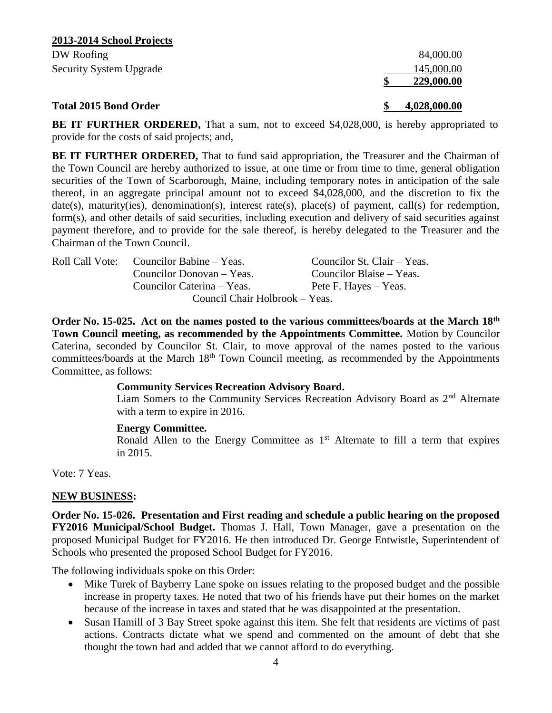| 2013-2014 School Projects      |            |
|--------------------------------|------------|
| DW Roofing                     | 84,000.00  |
| <b>Security System Upgrade</b> | 145,000.00 |
|                                | 229,000.00 |

### **Total 2015 Bond Order**

**\$ 4,028,000.00** 

**BE IT FURTHER ORDERED,** That a sum, not to exceed \$4,028,000, is hereby appropriated to provide for the costs of said projects; and,

**BE IT FURTHER ORDERED,** That to fund said appropriation, the Treasurer and the Chairman of the Town Council are hereby authorized to issue, at one time or from time to time, general obligation securities of the Town of Scarborough, Maine, including temporary notes in anticipation of the sale thereof, in an aggregate principal amount not to exceed \$4,028,000, and the discretion to fix the date(s), maturity(ies), denomination(s), interest rate(s), place(s) of payment, call(s) for redemption, form(s), and other details of said securities, including execution and delivery of said securities against payment therefore, and to provide for the sale thereof, is hereby delegated to the Treasurer and the Chairman of the Town Council.

| Roll Call Vote: Councilor Babine – Yeas. | Councilor St. Clair – Yeas. |
|------------------------------------------|-----------------------------|
| Councilor Donovan – Yeas.                | Councilor Blaise – Yeas.    |
| Councilor Caterina – Yeas.               | Pete F. Hayes – Yeas.       |
| Council Chair Holbrook – Yeas.           |                             |

**Order No. 15-025. Act on the names posted to the various committees/boards at the March 18th Town Council meeting, as recommended by the Appointments Committee.** Motion by Councilor Caterina, seconded by Councilor St. Clair, to move approval of the names posted to the various committees/boards at the March 18<sup>th</sup> Town Council meeting, as recommended by the Appointments Committee, as follows:

#### **Community Services Recreation Advisory Board.**

Liam Somers to the Community Services Recreation Advisory Board as  $2<sup>nd</sup>$  Alternate with a term to expire in 2016.

#### **Energy Committee.**

Ronald Allen to the Energy Committee as  $1<sup>st</sup>$  Alternate to fill a term that expires in 2015.

Vote: 7 Yeas.

#### **NEW BUSINESS:**

**Order No. 15-026. Presentation and First reading and schedule a public hearing on the proposed FY2016 Municipal/School Budget.** Thomas J. Hall, Town Manager, gave a presentation on the proposed Municipal Budget for FY2016. He then introduced Dr. George Entwistle, Superintendent of Schools who presented the proposed School Budget for FY2016.

The following individuals spoke on this Order:

- Mike Turek of Bayberry Lane spoke on issues relating to the proposed budget and the possible increase in property taxes. He noted that two of his friends have put their homes on the market because of the increase in taxes and stated that he was disappointed at the presentation.
- Susan Hamill of 3 Bay Street spoke against this item. She felt that residents are victims of past actions. Contracts dictate what we spend and commented on the amount of debt that she thought the town had and added that we cannot afford to do everything.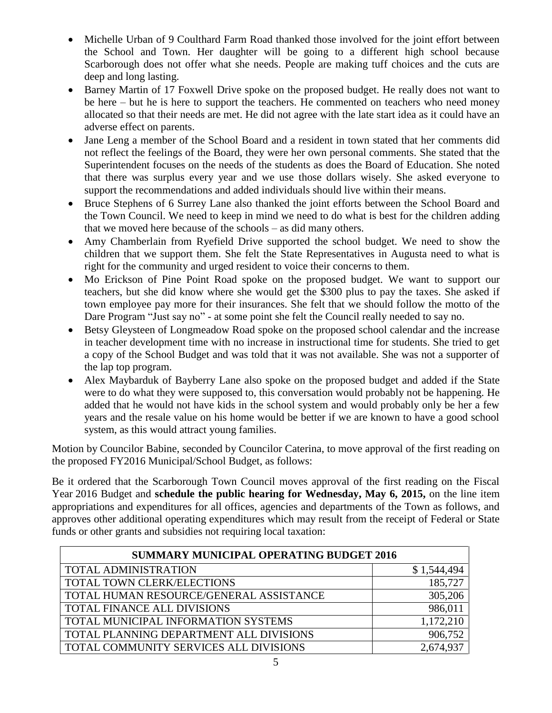- Michelle Urban of 9 Coulthard Farm Road thanked those involved for the joint effort between the School and Town. Her daughter will be going to a different high school because Scarborough does not offer what she needs. People are making tuff choices and the cuts are deep and long lasting.
- Barney Martin of 17 Foxwell Drive spoke on the proposed budget. He really does not want to be here – but he is here to support the teachers. He commented on teachers who need money allocated so that their needs are met. He did not agree with the late start idea as it could have an adverse effect on parents.
- Jane Leng a member of the School Board and a resident in town stated that her comments did not reflect the feelings of the Board, they were her own personal comments. She stated that the Superintendent focuses on the needs of the students as does the Board of Education. She noted that there was surplus every year and we use those dollars wisely. She asked everyone to support the recommendations and added individuals should live within their means.
- Bruce Stephens of 6 Surrey Lane also thanked the joint efforts between the School Board and the Town Council. We need to keep in mind we need to do what is best for the children adding that we moved here because of the schools – as did many others.
- Amy Chamberlain from Ryefield Drive supported the school budget. We need to show the children that we support them. She felt the State Representatives in Augusta need to what is right for the community and urged resident to voice their concerns to them.
- Mo Erickson of Pine Point Road spoke on the proposed budget. We want to support our teachers, but she did know where she would get the \$300 plus to pay the taxes. She asked if town employee pay more for their insurances. She felt that we should follow the motto of the Dare Program "Just say no" - at some point she felt the Council really needed to say no.
- Betsy Gleysteen of Longmeadow Road spoke on the proposed school calendar and the increase in teacher development time with no increase in instructional time for students. She tried to get a copy of the School Budget and was told that it was not available. She was not a supporter of the lap top program.
- Alex Maybarduk of Bayberry Lane also spoke on the proposed budget and added if the State were to do what they were supposed to, this conversation would probably not be happening. He added that he would not have kids in the school system and would probably only be her a few years and the resale value on his home would be better if we are known to have a good school system, as this would attract young families.

Motion by Councilor Babine, seconded by Councilor Caterina, to move approval of the first reading on the proposed FY2016 Municipal/School Budget, as follows:

Be it ordered that the Scarborough Town Council moves approval of the first reading on the Fiscal Year 2016 Budget and **schedule the public hearing for Wednesday, May 6, 2015,** on the line item appropriations and expenditures for all offices, agencies and departments of the Town as follows, and approves other additional operating expenditures which may result from the receipt of Federal or State funds or other grants and subsidies not requiring local taxation:

| <b>SUMMARY MUNICIPAL OPERATING BUDGET 2016</b> |             |
|------------------------------------------------|-------------|
| <b>TOTAL ADMINISTRATION</b>                    | \$1,544,494 |
| TOTAL TOWN CLERK/ELECTIONS                     | 185,727     |
| TOTAL HUMAN RESOURCE/GENERAL ASSISTANCE        | 305,206     |
| TOTAL FINANCE ALL DIVISIONS                    | 986,011     |
| TOTAL MUNICIPAL INFORMATION SYSTEMS            | 1,172,210   |
| TOTAL PLANNING DEPARTMENT ALL DIVISIONS        | 906,752     |
| TOTAL COMMUNITY SERVICES ALL DIVISIONS         | 2,674,93    |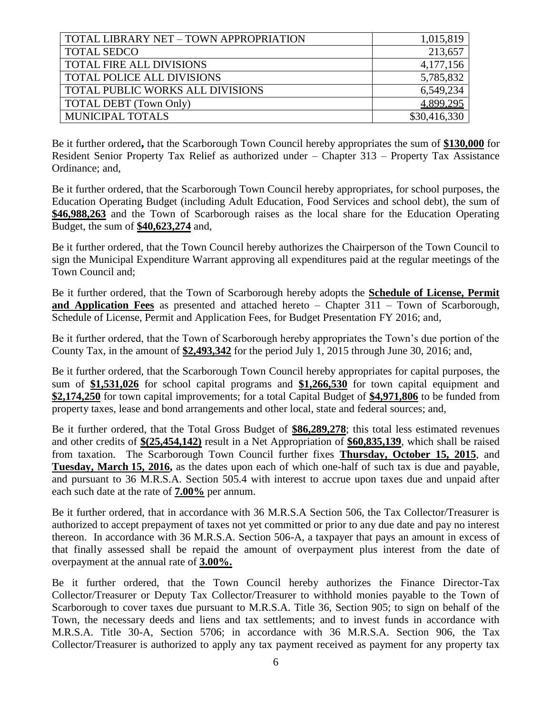| TOTAL LIBRARY NET - TOWN APPROPRIATION | 1,015,819    |
|----------------------------------------|--------------|
| <b>TOTAL SEDCO</b>                     | 213,657      |
| TOTAL FIRE ALL DIVISIONS               | 4,177,156    |
| TOTAL POLICE ALL DIVISIONS             | 5,785,832    |
| TOTAL PUBLIC WORKS ALL DIVISIONS       | 6,549,234    |
| TOTAL DEBT (Town Only)                 | 4,899,295    |
| MUNICIPAL TOTALS                       | \$30,416,330 |
|                                        |              |

Be it further ordered**,** that the Scarborough Town Council hereby appropriates the sum of **\$130,000** for Resident Senior Property Tax Relief as authorized under – Chapter 313 – Property Tax Assistance Ordinance; and,

Be it further ordered, that the Scarborough Town Council hereby appropriates, for school purposes, the Education Operating Budget (including Adult Education, Food Services and school debt), the sum of **\$46,988,263** and the Town of Scarborough raises as the local share for the Education Operating Budget, the sum of **\$40,623,274** and,

Be it further ordered, that the Town Council hereby authorizes the Chairperson of the Town Council to sign the Municipal Expenditure Warrant approving all expenditures paid at the regular meetings of the Town Council and;

Be it further ordered, that the Town of Scarborough hereby adopts the **Schedule of License, Permit and Application Fees** as presented and attached hereto – Chapter 311 – Town of Scarborough, Schedule of License, Permit and Application Fees, for Budget Presentation FY 2016; and,

Be it further ordered, that the Town of Scarborough hereby appropriates the Town's due portion of the County Tax, in the amount of **\$2,493,342** for the period July 1, 2015 through June 30, 2016; and,

Be it further ordered, that the Scarborough Town Council hereby appropriates for capital purposes, the sum of **\$1,531,026** for school capital programs and **\$1,266,530** for town capital equipment and **\$2,174,250** for town capital improvements; for a total Capital Budget of **\$4,971,806** to be funded from property taxes, lease and bond arrangements and other local, state and federal sources; and,

Be it further ordered, that the Total Gross Budget of **\$86,289,278**; this total less estimated revenues and other credits of **\$(25,454,142)** result in a Net Appropriation of **\$60,835,139**, which shall be raised from taxation. The Scarborough Town Council further fixes **Thursday, October 15, 2015**, and **Tuesday, March 15, 2016,** as the dates upon each of which one-half of such tax is due and payable, and pursuant to 36 M.R.S.A. Section 505.4 with interest to accrue upon taxes due and unpaid after each such date at the rate of **7.00%** per annum.

Be it further ordered, that in accordance with 36 M.R.S.A Section 506, the Tax Collector/Treasurer is authorized to accept prepayment of taxes not yet committed or prior to any due date and pay no interest thereon. In accordance with 36 M.R.S.A. Section 506-A, a taxpayer that pays an amount in excess of that finally assessed shall be repaid the amount of overpayment plus interest from the date of overpayment at the annual rate of **3.00%.**

Be it further ordered, that the Town Council hereby authorizes the Finance Director-Tax Collector/Treasurer or Deputy Tax Collector/Treasurer to withhold monies payable to the Town of Scarborough to cover taxes due pursuant to M.R.S.A. Title 36, Section 905; to sign on behalf of the Town, the necessary deeds and liens and tax settlements; and to invest funds in accordance with M.R.S.A. Title 30-A, Section 5706; in accordance with 36 M.R.S.A. Section 906, the Tax Collector/Treasurer is authorized to apply any tax payment received as payment for any property tax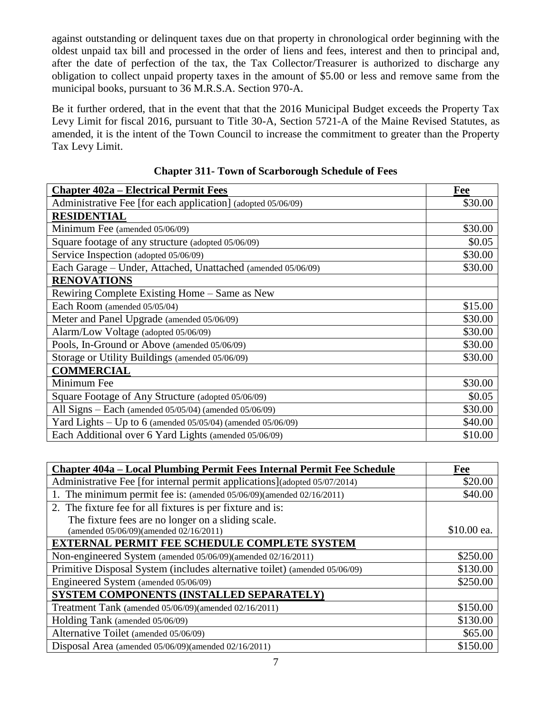against outstanding or delinquent taxes due on that property in chronological order beginning with the oldest unpaid tax bill and processed in the order of liens and fees, interest and then to principal and, after the date of perfection of the tax, the Tax Collector/Treasurer is authorized to discharge any obligation to collect unpaid property taxes in the amount of \$5.00 or less and remove same from the municipal books, pursuant to 36 M.R.S.A. Section 970-A.

Be it further ordered, that in the event that that the 2016 Municipal Budget exceeds the Property Tax Levy Limit for fiscal 2016, pursuant to Title 30-A, Section 5721-A of the Maine Revised Statutes, as amended, it is the intent of the Town Council to increase the commitment to greater than the Property Tax Levy Limit.

| <b>Chapter 402a – Electrical Permit Fees</b>                      | Fee     |
|-------------------------------------------------------------------|---------|
| Administrative Fee [for each application] (adopted 05/06/09)      | \$30.00 |
| <b>RESIDENTIAL</b>                                                |         |
| Minimum Fee (amended 05/06/09)                                    | \$30.00 |
| Square footage of any structure (adopted 05/06/09)                | \$0.05  |
| Service Inspection (adopted 05/06/09)                             | \$30.00 |
| Each Garage - Under, Attached, Unattached (amended 05/06/09)      | \$30.00 |
| <b>RENOVATIONS</b>                                                |         |
| Rewiring Complete Existing Home – Same as New                     |         |
| Each Room (amended 05/05/04)                                      | \$15.00 |
| Meter and Panel Upgrade (amended 05/06/09)                        | \$30.00 |
| Alarm/Low Voltage (adopted 05/06/09)                              | \$30.00 |
| Pools, In-Ground or Above (amended 05/06/09)                      | \$30.00 |
| Storage or Utility Buildings (amended 05/06/09)                   | \$30.00 |
| <b>COMMERCIAL</b>                                                 |         |
| Minimum Fee                                                       | \$30.00 |
| Square Footage of Any Structure (adopted 05/06/09)                | \$0.05  |
| All Signs - Each (amended 05/05/04) (amended 05/06/09)            | \$30.00 |
| Yard Lights – Up to 6 (amended $05/05/04$ ) (amended $05/06/09$ ) | \$40.00 |
| Each Additional over 6 Yard Lights (amended 05/06/09)             | \$10.00 |

| <b>Chapter 311- Town of Scarborough Schedule of Fees</b> |
|----------------------------------------------------------|
|----------------------------------------------------------|

| Chapter 404a – Local Plumbing Permit Fees Internal Permit Fee Schedule     | <b>Fee</b>  |
|----------------------------------------------------------------------------|-------------|
| Administrative Fee [for internal permit applications](adopted 05/07/2014)  | \$20.00     |
| 1. The minimum permit fee is: (amended 05/06/09)(amended 02/16/2011)       | \$40.00     |
| 2. The fixture fee for all fixtures is per fixture and is:                 |             |
| The fixture fees are no longer on a sliding scale.                         |             |
| (amended 05/06/09)(amended 02/16/2011)                                     | \$10.00 ea. |
| <b>EXTERNAL PERMIT FEE SCHEDULE COMPLETE SYSTEM</b>                        |             |
| Non-engineered System (amended 05/06/09)(amended 02/16/2011)               | \$250.00    |
| Primitive Disposal System (includes alternative toilet) (amended 05/06/09) | \$130.00    |
| Engineered System (amended 05/06/09)                                       | \$250.00    |
| SYSTEM COMPONENTS (INSTALLED SEPARATELY)                                   |             |
| Treatment Tank (amended 05/06/09)(amended 02/16/2011)                      | \$150.00    |
| Holding Tank (amended 05/06/09)                                            | \$130.00    |
| Alternative Toilet (amended 05/06/09)                                      | \$65.00     |
| Disposal Area (amended 05/06/09)(amended 02/16/2011)                       | \$150.00    |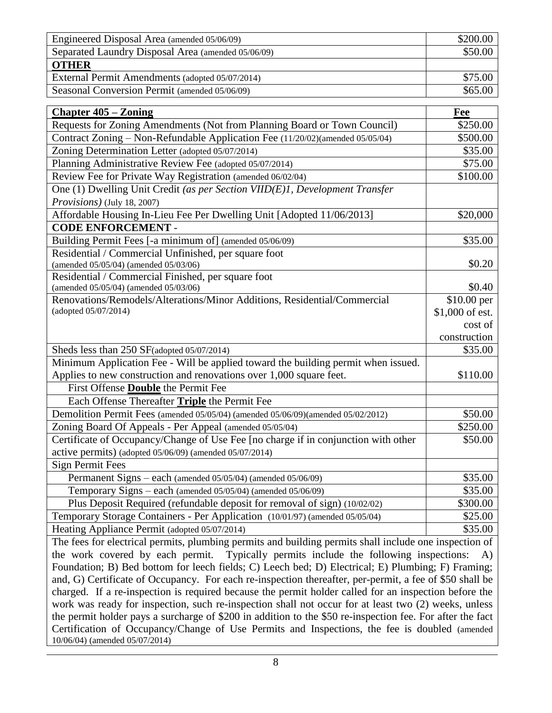| Engineered Disposal Area (amended 05/06/09)        | \$200.00 |
|----------------------------------------------------|----------|
| Separated Laundry Disposal Area (amended 05/06/09) | \$50.00  |
| <b>OTHER</b>                                       |          |
| External Permit Amendments (adopted 05/07/2014)    | \$75.00  |
| Seasonal Conversion Permit (amended 05/06/09)      | \$65.00  |

| <b>Chapter 405 – Zoning</b>                                                                                      | Fee                            |
|------------------------------------------------------------------------------------------------------------------|--------------------------------|
| Requests for Zoning Amendments (Not from Planning Board or Town Council)                                         | \$250.00                       |
| Contract Zoning – Non-Refundable Application Fee (11/20/02)(amended 05/05/04)                                    | \$500.00                       |
| Zoning Determination Letter (adopted 05/07/2014)                                                                 | \$35.00                        |
| Planning Administrative Review Fee (adopted 05/07/2014)                                                          | \$75.00                        |
| Review Fee for Private Way Registration (amended 06/02/04)                                                       | \$100.00                       |
| One (1) Dwelling Unit Credit (as per Section VIID(E)1, Development Transfer                                      |                                |
| Provisions) (July 18, 2007)                                                                                      |                                |
| Affordable Housing In-Lieu Fee Per Dwelling Unit [Adopted 11/06/2013]                                            | \$20,000                       |
| <b>CODE ENFORCEMENT -</b>                                                                                        |                                |
| Building Permit Fees [-a minimum of] (amended 05/06/09)                                                          | \$35.00                        |
| Residential / Commercial Unfinished, per square foot                                                             |                                |
| (amended 05/05/04) (amended 05/03/06)                                                                            | \$0.20                         |
| Residential / Commercial Finished, per square foot                                                               |                                |
| (amended 05/05/04) (amended 05/03/06)                                                                            | \$0.40                         |
| Renovations/Remodels/Alterations/Minor Additions, Residential/Commercial<br>(adopted 05/07/2014)                 | \$10.00 per<br>\$1,000 of est. |
|                                                                                                                  | cost of                        |
|                                                                                                                  | construction                   |
| Sheds less than 250 SF(adopted 05/07/2014)                                                                       | \$35.00                        |
| Minimum Application Fee - Will be applied toward the building permit when issued.                                |                                |
| Applies to new construction and renovations over 1,000 square feet.                                              | \$110.00                       |
| First Offense <b>Double</b> the Permit Fee                                                                       |                                |
| Each Offense Thereafter Triple the Permit Fee                                                                    |                                |
| Demolition Permit Fees (amended 05/05/04) (amended 05/06/09)(amended 05/02/2012)                                 | \$50.00                        |
| Zoning Board Of Appeals - Per Appeal (amended 05/05/04)                                                          | \$250.00                       |
| Certificate of Occupancy/Change of Use Fee [no charge if in conjunction with other                               | \$50.00                        |
| active permits) (adopted 05/06/09) (amended 05/07/2014)                                                          |                                |
| <b>Sign Permit Fees</b>                                                                                          |                                |
| Permanent Signs - each (amended 05/05/04) (amended 05/06/09)                                                     | \$35.00                        |
| Temporary Signs – each (amended 05/05/04) (amended 05/06/09)                                                     | \$35.00                        |
| Plus Deposit Required (refundable deposit for removal of sign) (10/02/02)                                        | \$300.00                       |
| Temporary Storage Containers - Per Application (10/01/97) (amended 05/05/04)                                     | \$25.00                        |
| Heating Appliance Permit (adopted 05/07/2014)                                                                    | \$35.00                        |
| The fees for electrical permits, plumbing permits and building permits shall include one inspection of           |                                |
| the work covered by each permit. Typically permits include the following inspections:                            | A)                             |
| Equidation: $R$ ) Red bottom for leach fields: $C$ ) Leach bed: $D$ ) Electrical: $E$ ) Plumbing: $E$ ) Framing: |                                |

Foundation; B) Bed bottom for leech fields; C) Leech bed; D) Electrical; E) Plumbing; F) Framing; and, G) Certificate of Occupancy. For each re-inspection thereafter, per-permit, a fee of \$50 shall be charged. If a re-inspection is required because the permit holder called for an inspection before the work was ready for inspection, such re-inspection shall not occur for at least two (2) weeks, unless the permit holder pays a surcharge of \$200 in addition to the \$50 re-inspection fee. For after the fact Certification of Occupancy/Change of Use Permits and Inspections, the fee is doubled (amended 10/06/04) (amended 05/07/2014)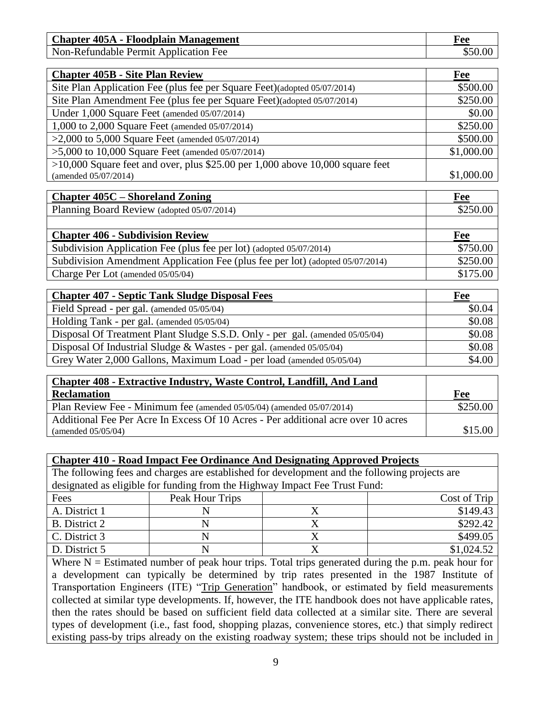| <b>Chapter 405A - Floodplain Management</b> | ree |
|---------------------------------------------|-----|
| Non-Refundable Permit Application Fee       |     |

| <b>Chapter 405B - Site Plan Review</b>                                          | Fee        |
|---------------------------------------------------------------------------------|------------|
| Site Plan Application Fee (plus fee per Square Feet)(adopted 05/07/2014)        | \$500.00   |
| Site Plan Amendment Fee (plus fee per Square Feet) (adopted 05/07/2014)         | \$250.00   |
| Under 1,000 Square Feet (amended 05/07/2014)                                    | \$0.00     |
| 1,000 to 2,000 Square Feet (amended 05/07/2014)                                 | \$250.00   |
| $>2,000$ to 5,000 Square Feet (amended 05/07/2014)                              | \$500.00   |
| $>5,000$ to 10,000 Square Feet (amended 05/07/2014)                             | \$1,000.00 |
| $>10,000$ Square feet and over, plus \$25.00 per 1,000 above 10,000 square feet |            |
| (amended 05/07/2014)                                                            | \$1,000.00 |

| <b>Chapter 405C – Shoreland Zoning</b>                                        | Fee      |
|-------------------------------------------------------------------------------|----------|
| Planning Board Review (adopted 05/07/2014)                                    | \$250.00 |
|                                                                               |          |
| <b>Chapter 406 - Subdivision Review</b>                                       | Fee      |
| Subdivision Application Fee (plus fee per lot) (adopted 05/07/2014)           | \$750.00 |
| Subdivision Amendment Application Fee (plus fee per lot) (adopted 05/07/2014) | \$250.00 |
| Charge Per Lot (amended 05/05/04)                                             | \$175.00 |

| <b>Chapter 407 - Septic Tank Sludge Disposal Fees</b>                        | Fee    |
|------------------------------------------------------------------------------|--------|
| Field Spread - per gal. (amended 05/05/04)                                   | \$0.04 |
| Holding Tank - per gal. (amended 05/05/04)                                   | \$0.08 |
| Disposal Of Treatment Plant Sludge S.S.D. Only - per gal. (amended 05/05/04) | \$0.08 |
| Disposal Of Industrial Sludge & Wastes - per gal. (amended 05/05/04)         | \$0.08 |
| Grey Water 2,000 Gallons, Maximum Load - per load (amended 05/05/04)         | \$4.00 |

| <b>Chapter 408 - Extractive Industry, Waste Control, Landfill, And Land</b>       |          |
|-----------------------------------------------------------------------------------|----------|
| <b>Reclamation</b>                                                                | Fee      |
| Plan Review Fee - Minimum fee (amended 05/05/04) (amended 05/07/2014)             | \$250.00 |
| Additional Fee Per Acre In Excess Of 10 Acres - Per additional acre over 10 acres |          |
| (amended $05/05/04$ )                                                             | \$15.00  |

### **Chapter 410 - Road Impact Fee Ordinance And Designating Approved Projects**

The following fees and charges are established for development and the following projects are designated as eligible for funding from the Highway Impact Fee Trust Fund:

| Fees          | Peak Hour Trips | Cost of Trip |
|---------------|-----------------|--------------|
| A. District 1 |                 | \$149.43     |
| B. District 2 |                 | \$292.42     |
| C. District 3 |                 | \$499.05     |
| D. District 5 |                 | \$1,024.52   |

Where  $N =$  Estimated number of peak hour trips. Total trips generated during the p.m. peak hour for a development can typically be determined by trip rates presented in the 1987 Institute of Transportation Engineers (ITE) "Trip Generation" handbook, or estimated by field measurements collected at similar type developments. If, however, the ITE handbook does not have applicable rates, then the rates should be based on sufficient field data collected at a similar site. There are several types of development (i.e., fast food, shopping plazas, convenience stores, etc.) that simply redirect existing pass-by trips already on the existing roadway system; these trips should not be included in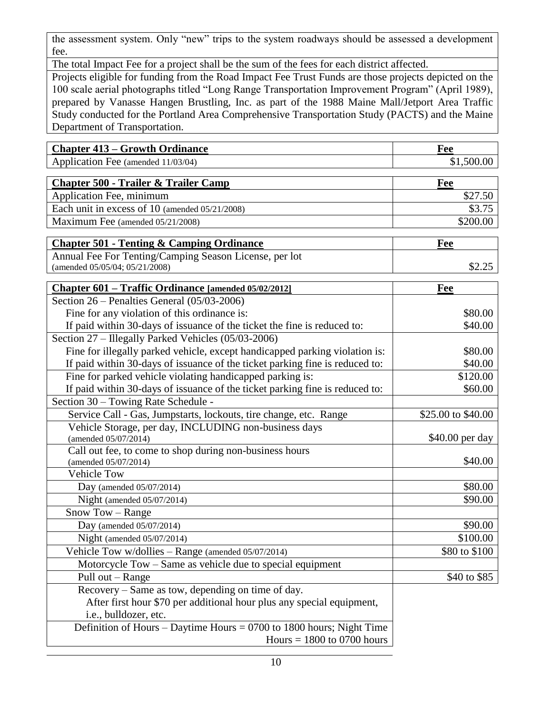the assessment system. Only "new" trips to the system roadways should be assessed a development fee.

The total Impact Fee for a project shall be the sum of the fees for each district affected.

Projects eligible for funding from the Road Impact Fee Trust Funds are those projects depicted on the 100 scale aerial photographs titled "Long Range Transportation Improvement Program" (April 1989), prepared by Vanasse Hangen Brustling, Inc. as part of the 1988 Maine Mall/Jetport Area Traffic Study conducted for the Portland Area Comprehensive Transportation Study (PACTS) and the Maine Department of Transportation.

| <b>Chapter 413 – Growth Ordinance</b>                  | Fee        |
|--------------------------------------------------------|------------|
| Application Fee (amended 11/03/04)                     | \$1,500.00 |
|                                                        |            |
| <b>Chapter 500 - Trailer &amp; Trailer Camp</b>        | Fee        |
| Application Fee, minimum                               | \$27.50    |
| Each unit in excess of 10 (amended 05/21/2008)         | \$3.75     |
| Maximum Fee (amended 05/21/2008)                       | \$200.00   |
|                                                        |            |
| <b>Chapter 501 - Tenting &amp; Camping Ordinance</b>   | Fee        |
| Annual Fee For Tenting/Camping Season License, per lot |            |
| (amended 05/05/04; 05/21/2008)                         |            |

| Section 26 – Penalties General (05/03-2006)<br>Fine for any violation of this ordinance is:<br>\$80.00<br>If paid within 30-days of issuance of the ticket the fine is reduced to:<br>\$40.00<br>Section 27 – Illegally Parked Vehicles (05/03-2006)<br>Fine for illegally parked vehicle, except handicapped parking violation is:<br>\$80.00<br>If paid within 30-days of issuance of the ticket parking fine is reduced to:<br>\$40.00<br>Fine for parked vehicle violating handicapped parking is:<br>\$120.00<br>If paid within 30-days of issuance of the ticket parking fine is reduced to:<br>\$60.00<br>Section 30 - Towing Rate Schedule -<br>Service Call - Gas, Jumpstarts, lockouts, tire change, etc. Range<br>\$25.00 to \$40.00<br>Vehicle Storage, per day, INCLUDING non-business days<br>\$40.00 per day<br>(amended 05/07/2014)<br>Call out fee, to come to shop during non-business hours<br>\$40.00<br>(amended 05/07/2014)<br><b>Vehicle Tow</b><br>\$80.00<br>Day (amended $05/07/2014$ )<br>\$90.00<br>Night (amended $05/07/2014$ )<br>Snow Tow - Range<br>\$90.00<br>Day (amended $05/07/2014$ )<br>\$100.00<br>Night (amended $05/07/2014$ )<br>Vehicle Tow w/dollies - Range (amended 05/07/2014)<br>\$80 to \$100<br>Motorcycle Tow – Same as vehicle due to special equipment<br>Pull out – Range<br>\$40 to \$85<br>Recovery – Same as tow, depending on time of day.<br>After first hour \$70 per additional hour plus any special equipment,<br>i.e., bulldozer, etc.<br>Definition of Hours – Daytime Hours = $0700$ to $1800$ hours; Night Time<br>Hours $= 1800$ to 0700 hours | Chapter 601 – Traffic Ordinance [amended 05/02/2012] | Fee |
|---------------------------------------------------------------------------------------------------------------------------------------------------------------------------------------------------------------------------------------------------------------------------------------------------------------------------------------------------------------------------------------------------------------------------------------------------------------------------------------------------------------------------------------------------------------------------------------------------------------------------------------------------------------------------------------------------------------------------------------------------------------------------------------------------------------------------------------------------------------------------------------------------------------------------------------------------------------------------------------------------------------------------------------------------------------------------------------------------------------------------------------------------------------------------------------------------------------------------------------------------------------------------------------------------------------------------------------------------------------------------------------------------------------------------------------------------------------------------------------------------------------------------------------------------------------------------------------------------------------------|------------------------------------------------------|-----|
|                                                                                                                                                                                                                                                                                                                                                                                                                                                                                                                                                                                                                                                                                                                                                                                                                                                                                                                                                                                                                                                                                                                                                                                                                                                                                                                                                                                                                                                                                                                                                                                                                     |                                                      |     |
|                                                                                                                                                                                                                                                                                                                                                                                                                                                                                                                                                                                                                                                                                                                                                                                                                                                                                                                                                                                                                                                                                                                                                                                                                                                                                                                                                                                                                                                                                                                                                                                                                     |                                                      |     |
|                                                                                                                                                                                                                                                                                                                                                                                                                                                                                                                                                                                                                                                                                                                                                                                                                                                                                                                                                                                                                                                                                                                                                                                                                                                                                                                                                                                                                                                                                                                                                                                                                     |                                                      |     |
|                                                                                                                                                                                                                                                                                                                                                                                                                                                                                                                                                                                                                                                                                                                                                                                                                                                                                                                                                                                                                                                                                                                                                                                                                                                                                                                                                                                                                                                                                                                                                                                                                     |                                                      |     |
|                                                                                                                                                                                                                                                                                                                                                                                                                                                                                                                                                                                                                                                                                                                                                                                                                                                                                                                                                                                                                                                                                                                                                                                                                                                                                                                                                                                                                                                                                                                                                                                                                     |                                                      |     |
|                                                                                                                                                                                                                                                                                                                                                                                                                                                                                                                                                                                                                                                                                                                                                                                                                                                                                                                                                                                                                                                                                                                                                                                                                                                                                                                                                                                                                                                                                                                                                                                                                     |                                                      |     |
|                                                                                                                                                                                                                                                                                                                                                                                                                                                                                                                                                                                                                                                                                                                                                                                                                                                                                                                                                                                                                                                                                                                                                                                                                                                                                                                                                                                                                                                                                                                                                                                                                     |                                                      |     |
|                                                                                                                                                                                                                                                                                                                                                                                                                                                                                                                                                                                                                                                                                                                                                                                                                                                                                                                                                                                                                                                                                                                                                                                                                                                                                                                                                                                                                                                                                                                                                                                                                     |                                                      |     |
|                                                                                                                                                                                                                                                                                                                                                                                                                                                                                                                                                                                                                                                                                                                                                                                                                                                                                                                                                                                                                                                                                                                                                                                                                                                                                                                                                                                                                                                                                                                                                                                                                     |                                                      |     |
|                                                                                                                                                                                                                                                                                                                                                                                                                                                                                                                                                                                                                                                                                                                                                                                                                                                                                                                                                                                                                                                                                                                                                                                                                                                                                                                                                                                                                                                                                                                                                                                                                     |                                                      |     |
|                                                                                                                                                                                                                                                                                                                                                                                                                                                                                                                                                                                                                                                                                                                                                                                                                                                                                                                                                                                                                                                                                                                                                                                                                                                                                                                                                                                                                                                                                                                                                                                                                     |                                                      |     |
|                                                                                                                                                                                                                                                                                                                                                                                                                                                                                                                                                                                                                                                                                                                                                                                                                                                                                                                                                                                                                                                                                                                                                                                                                                                                                                                                                                                                                                                                                                                                                                                                                     |                                                      |     |
|                                                                                                                                                                                                                                                                                                                                                                                                                                                                                                                                                                                                                                                                                                                                                                                                                                                                                                                                                                                                                                                                                                                                                                                                                                                                                                                                                                                                                                                                                                                                                                                                                     |                                                      |     |
|                                                                                                                                                                                                                                                                                                                                                                                                                                                                                                                                                                                                                                                                                                                                                                                                                                                                                                                                                                                                                                                                                                                                                                                                                                                                                                                                                                                                                                                                                                                                                                                                                     |                                                      |     |
|                                                                                                                                                                                                                                                                                                                                                                                                                                                                                                                                                                                                                                                                                                                                                                                                                                                                                                                                                                                                                                                                                                                                                                                                                                                                                                                                                                                                                                                                                                                                                                                                                     |                                                      |     |
|                                                                                                                                                                                                                                                                                                                                                                                                                                                                                                                                                                                                                                                                                                                                                                                                                                                                                                                                                                                                                                                                                                                                                                                                                                                                                                                                                                                                                                                                                                                                                                                                                     |                                                      |     |
|                                                                                                                                                                                                                                                                                                                                                                                                                                                                                                                                                                                                                                                                                                                                                                                                                                                                                                                                                                                                                                                                                                                                                                                                                                                                                                                                                                                                                                                                                                                                                                                                                     |                                                      |     |
|                                                                                                                                                                                                                                                                                                                                                                                                                                                                                                                                                                                                                                                                                                                                                                                                                                                                                                                                                                                                                                                                                                                                                                                                                                                                                                                                                                                                                                                                                                                                                                                                                     |                                                      |     |
|                                                                                                                                                                                                                                                                                                                                                                                                                                                                                                                                                                                                                                                                                                                                                                                                                                                                                                                                                                                                                                                                                                                                                                                                                                                                                                                                                                                                                                                                                                                                                                                                                     |                                                      |     |
|                                                                                                                                                                                                                                                                                                                                                                                                                                                                                                                                                                                                                                                                                                                                                                                                                                                                                                                                                                                                                                                                                                                                                                                                                                                                                                                                                                                                                                                                                                                                                                                                                     |                                                      |     |
|                                                                                                                                                                                                                                                                                                                                                                                                                                                                                                                                                                                                                                                                                                                                                                                                                                                                                                                                                                                                                                                                                                                                                                                                                                                                                                                                                                                                                                                                                                                                                                                                                     |                                                      |     |
|                                                                                                                                                                                                                                                                                                                                                                                                                                                                                                                                                                                                                                                                                                                                                                                                                                                                                                                                                                                                                                                                                                                                                                                                                                                                                                                                                                                                                                                                                                                                                                                                                     |                                                      |     |
|                                                                                                                                                                                                                                                                                                                                                                                                                                                                                                                                                                                                                                                                                                                                                                                                                                                                                                                                                                                                                                                                                                                                                                                                                                                                                                                                                                                                                                                                                                                                                                                                                     |                                                      |     |
|                                                                                                                                                                                                                                                                                                                                                                                                                                                                                                                                                                                                                                                                                                                                                                                                                                                                                                                                                                                                                                                                                                                                                                                                                                                                                                                                                                                                                                                                                                                                                                                                                     |                                                      |     |
|                                                                                                                                                                                                                                                                                                                                                                                                                                                                                                                                                                                                                                                                                                                                                                                                                                                                                                                                                                                                                                                                                                                                                                                                                                                                                                                                                                                                                                                                                                                                                                                                                     |                                                      |     |
|                                                                                                                                                                                                                                                                                                                                                                                                                                                                                                                                                                                                                                                                                                                                                                                                                                                                                                                                                                                                                                                                                                                                                                                                                                                                                                                                                                                                                                                                                                                                                                                                                     |                                                      |     |
|                                                                                                                                                                                                                                                                                                                                                                                                                                                                                                                                                                                                                                                                                                                                                                                                                                                                                                                                                                                                                                                                                                                                                                                                                                                                                                                                                                                                                                                                                                                                                                                                                     |                                                      |     |
|                                                                                                                                                                                                                                                                                                                                                                                                                                                                                                                                                                                                                                                                                                                                                                                                                                                                                                                                                                                                                                                                                                                                                                                                                                                                                                                                                                                                                                                                                                                                                                                                                     |                                                      |     |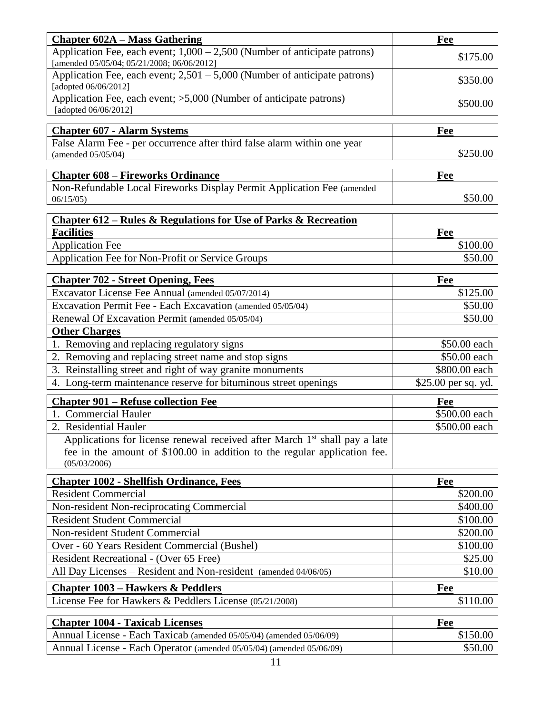| <b>Chapter 602A – Mass Gathering</b>                                                                                      | Fee                 |
|---------------------------------------------------------------------------------------------------------------------------|---------------------|
| Application Fee, each event; $1,000 - 2,500$ (Number of anticipate patrons)<br>[amended 05/05/04; 05/21/2008; 06/06/2012] | \$175.00            |
| Application Fee, each event; $2,501 - 5,000$ (Number of anticipate patrons)<br>[adopted 06/06/2012]                       | \$350.00            |
| Application Fee, each event; >5,000 (Number of anticipate patrons)<br>[adopted 06/06/2012]                                | \$500.00            |
| <b>Chapter 607 - Alarm Systems</b>                                                                                        | Fee                 |
| False Alarm Fee - per occurrence after third false alarm within one year                                                  |                     |
| (amended 05/05/04)                                                                                                        | \$250.00            |
| <b>Chapter 608 – Fireworks Ordinance</b>                                                                                  | Fee                 |
| Non-Refundable Local Fireworks Display Permit Application Fee (amended                                                    |                     |
| 06/15/05                                                                                                                  | \$50.00             |
| <b>Chapter 612 – Rules &amp; Regulations for Use of Parks &amp; Recreation</b>                                            |                     |
| <b>Facilities</b>                                                                                                         | Fee                 |
| <b>Application Fee</b>                                                                                                    | \$100.00            |
| Application Fee for Non-Profit or Service Groups                                                                          | \$50.00             |
| <b>Chapter 702 - Street Opening, Fees</b>                                                                                 | <b>Fee</b>          |
| Excavator License Fee Annual (amended 05/07/2014)                                                                         | \$125.00            |
| Excavation Permit Fee - Each Excavation (amended 05/05/04)                                                                | \$50.00             |
| Renewal Of Excavation Permit (amended 05/05/04)                                                                           | \$50.00             |
| <b>Other Charges</b>                                                                                                      |                     |
| 1. Removing and replacing regulatory signs                                                                                | \$50.00 each        |
| 2. Removing and replacing street name and stop signs                                                                      | \$50.00 each        |
| 3. Reinstalling street and right of way granite monuments                                                                 | \$800.00 each       |
| 4. Long-term maintenance reserve for bituminous street openings                                                           | \$25.00 per sq. yd. |
| <b>Chapter 901 – Refuse collection Fee</b>                                                                                | Fee                 |
| 1. Commercial Hauler                                                                                                      | \$500.00 each       |
| 2. Residential Hauler                                                                                                     | \$500.00 each       |
| Applications for license renewal received after March 1 <sup>st</sup> shall pay a late                                    |                     |
| fee in the amount of \$100.00 in addition to the regular application fee.<br>(05/03/2006)                                 |                     |
| <b>Chapter 1002 - Shellfish Ordinance, Fees</b>                                                                           | Fee                 |
| <b>Resident Commercial</b>                                                                                                | \$200.00            |
| Non-resident Non-reciprocating Commercial                                                                                 | \$400.00            |
| <b>Resident Student Commercial</b>                                                                                        | \$100.00            |
| Non-resident Student Commercial                                                                                           | \$200.00            |
| Over - 60 Years Resident Commercial (Bushel)                                                                              | \$100.00            |
| Resident Recreational - (Over 65 Free)                                                                                    | \$25.00             |
| All Day Licenses – Resident and Non-resident (amended 04/06/05)                                                           | \$10.00             |
| <b>Chapter 1003 – Hawkers &amp; Peddlers</b>                                                                              | <b>Fee</b>          |
| License Fee for Hawkers & Peddlers License (05/21/2008)                                                                   | \$110.00            |
| <b>Chapter 1004 - Taxicab Licenses</b>                                                                                    | Fee                 |
| Annual License - Each Taxicab (amended 05/05/04) (amended 05/06/09)                                                       | \$150.00            |

| $T$ Militaal ERCCHSC - Each Taxicao (aliichucu 03/03/04) (aliichucu 03/00/07) | 91.99.00 |
|-------------------------------------------------------------------------------|----------|
| Annual License - Each Operator (amended 05/05/04) (amended 05/06/09)          | \$50.00  |
|                                                                               |          |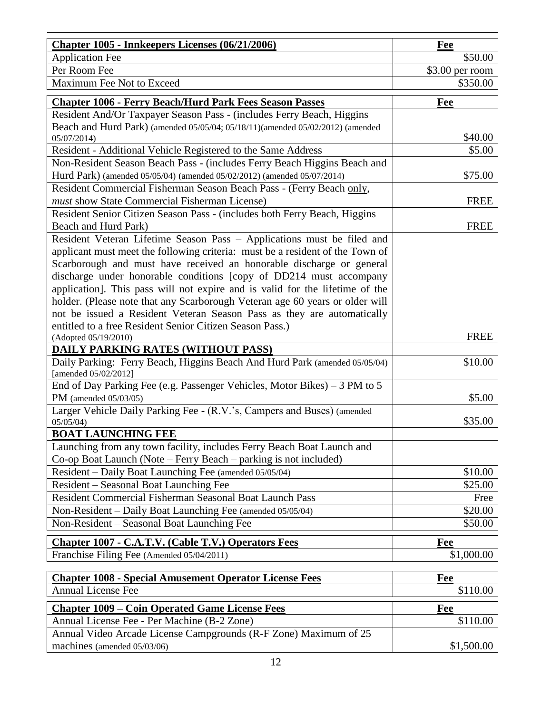| <b>Chapter 1005 - Innkeepers Licenses (06/21/2006)</b>                                                                             | Fee              |
|------------------------------------------------------------------------------------------------------------------------------------|------------------|
| <b>Application Fee</b>                                                                                                             | \$50.00          |
| Per Room Fee                                                                                                                       | $$3.00$ per room |
| Maximum Fee Not to Exceed                                                                                                          | \$350.00         |
| <b>Chapter 1006 - Ferry Beach/Hurd Park Fees Season Passes</b>                                                                     | Fee              |
| Resident And/Or Taxpayer Season Pass - (includes Ferry Beach, Higgins                                                              |                  |
| Beach and Hurd Park) (amended 05/05/04; 05/18/11)(amended 05/02/2012) (amended                                                     |                  |
| 05/07/2014                                                                                                                         | \$40.00          |
| Resident - Additional Vehicle Registered to the Same Address                                                                       | \$5.00           |
| Non-Resident Season Beach Pass - (includes Ferry Beach Higgins Beach and                                                           |                  |
| Hurd Park) (amended 05/05/04) (amended 05/02/2012) (amended 05/07/2014)                                                            | \$75.00          |
| Resident Commercial Fisherman Season Beach Pass - (Ferry Beach only,                                                               |                  |
| must show State Commercial Fisherman License)                                                                                      | <b>FREE</b>      |
| Resident Senior Citizen Season Pass - (includes both Ferry Beach, Higgins                                                          |                  |
| Beach and Hurd Park)                                                                                                               | <b>FREE</b>      |
| Resident Veteran Lifetime Season Pass - Applications must be filed and                                                             |                  |
| applicant must meet the following criteria: must be a resident of the Town of                                                      |                  |
| Scarborough and must have received an honorable discharge or general                                                               |                  |
| discharge under honorable conditions [copy of DD214 must accompany                                                                 |                  |
| application]. This pass will not expire and is valid for the lifetime of the                                                       |                  |
| holder. (Please note that any Scarborough Veteran age 60 years or older will                                                       |                  |
| not be issued a Resident Veteran Season Pass as they are automatically<br>entitled to a free Resident Senior Citizen Season Pass.) |                  |
| (Adopted 05/19/2010)                                                                                                               | <b>FREE</b>      |
| <b>DAILY PARKING RATES (WITHOUT PASS)</b>                                                                                          |                  |
| Daily Parking: Ferry Beach, Higgins Beach And Hurd Park (amended 05/05/04)                                                         | \$10.00          |
| [amended 05/02/2012]                                                                                                               |                  |
| End of Day Parking Fee (e.g. Passenger Vehicles, Motor Bikes) – $3 \overline{PM}$ to $5$                                           |                  |
| PM (amended $05/03/05$ )                                                                                                           | \$5.00           |
| Larger Vehicle Daily Parking Fee - (R.V.'s, Campers and Buses) (amended                                                            |                  |
| 05/05/04                                                                                                                           | \$35.00          |
| <b>BOAT LAUNCHING FEE</b>                                                                                                          |                  |
| Launching from any town facility, includes Ferry Beach Boat Launch and                                                             |                  |
| Co-op Boat Launch (Note – Ferry Beach – parking is not included)                                                                   |                  |
| Resident - Daily Boat Launching Fee (amended 05/05/04)                                                                             | \$10.00          |
| Resident - Seasonal Boat Launching Fee                                                                                             | \$25.00          |
| Resident Commercial Fisherman Seasonal Boat Launch Pass                                                                            | Free             |
| Non-Resident - Daily Boat Launching Fee (amended 05/05/04)                                                                         | \$20.00          |
| Non-Resident – Seasonal Boat Launching Fee                                                                                         | \$50.00          |
| <b>Chapter 1007 - C.A.T.V. (Cable T.V.) Operators Fees</b>                                                                         | Fee              |
| Franchise Filing Fee (Amended 05/04/2011)                                                                                          | \$1,000.00       |
|                                                                                                                                    |                  |
| <b>Chapter 1008 - Special Amusement Operator License Fees</b><br><b>Annual License Fee</b>                                         | Fee<br>\$110.00  |
|                                                                                                                                    |                  |
| <b>Chapter 1009 – Coin Operated Game License Fees</b>                                                                              | Fee              |
| Annual License Fee - Per Machine (B-2 Zone)                                                                                        | \$110.00         |
| Annual Video Arcade License Campgrounds (R-F Zone) Maximum of 25                                                                   |                  |
| machines (amended 05/03/06)                                                                                                        | \$1,500.00       |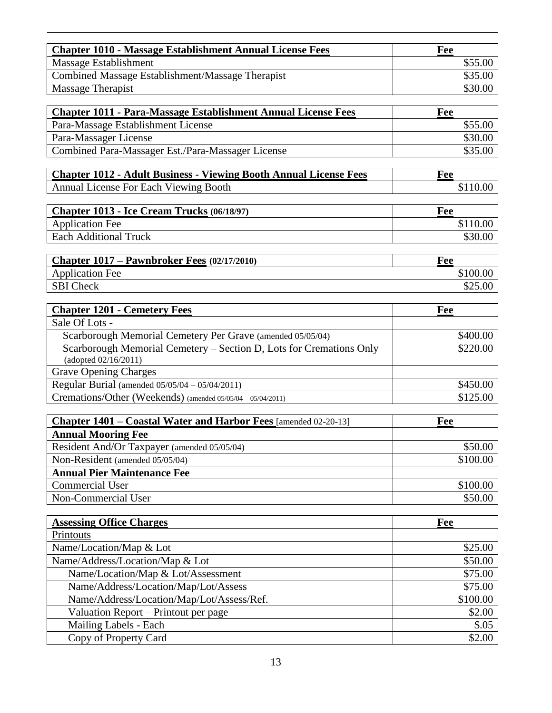| <b>Chapter 1010 - Massage Establishment Annual License Fees</b><br>Massage Establishment<br>\$55.00<br>Combined Massage Establishment/Massage Therapist<br>\$35.00<br>Massage Therapist<br>\$30.00<br><b>Chapter 1011 - Para-Massage Establishment Annual License Fees</b><br>Fee<br>Para-Massage Establishment License<br>\$55.00<br>Para-Massager License<br>\$30.00<br>Combined Para-Massager Est./Para-Massager License<br>\$35.00<br><b>Chapter 1012 - Adult Business - Viewing Booth Annual License Fees</b><br>Fee<br>Annual License For Each Viewing Booth<br>\$110.00<br>Chapter 1013 - Ice Cream Trucks (06/18/97)<br>Fee<br>\$110.00<br><b>Application Fee</b><br><b>Each Additional Truck</b><br>\$30.00<br>Chapter 1017 – Pawnbroker Fees (02/17/2010)<br>Fee<br><b>Application Fee</b><br>\$100.00<br><b>SBI</b> Check<br>\$25.00<br><b>Chapter 1201 - Cemetery Fees</b><br><b>Fee</b><br>Sale Of Lots -<br>\$400.00<br>Scarborough Memorial Cemetery Per Grave (amended 05/05/04)<br>Scarborough Memorial Cemetery - Section D, Lots for Cremations Only<br>\$220.00<br>(adopted 02/16/2011)<br><b>Grave Opening Charges</b><br>Regular Burial (amended 05/05/04 - 05/04/2011)<br>\$450.00<br>Cremations/Other (Weekends) (amended 05/05/04 - 05/04/2011)<br>\$125.00<br>Chapter 1401 – Coastal Water and Harbor Fees [amended 02-20-13]<br>Fee |
|----------------------------------------------------------------------------------------------------------------------------------------------------------------------------------------------------------------------------------------------------------------------------------------------------------------------------------------------------------------------------------------------------------------------------------------------------------------------------------------------------------------------------------------------------------------------------------------------------------------------------------------------------------------------------------------------------------------------------------------------------------------------------------------------------------------------------------------------------------------------------------------------------------------------------------------------------------------------------------------------------------------------------------------------------------------------------------------------------------------------------------------------------------------------------------------------------------------------------------------------------------------------------------------------------------------------------------------------------------------|
|                                                                                                                                                                                                                                                                                                                                                                                                                                                                                                                                                                                                                                                                                                                                                                                                                                                                                                                                                                                                                                                                                                                                                                                                                                                                                                                                                                |
|                                                                                                                                                                                                                                                                                                                                                                                                                                                                                                                                                                                                                                                                                                                                                                                                                                                                                                                                                                                                                                                                                                                                                                                                                                                                                                                                                                |
|                                                                                                                                                                                                                                                                                                                                                                                                                                                                                                                                                                                                                                                                                                                                                                                                                                                                                                                                                                                                                                                                                                                                                                                                                                                                                                                                                                |
|                                                                                                                                                                                                                                                                                                                                                                                                                                                                                                                                                                                                                                                                                                                                                                                                                                                                                                                                                                                                                                                                                                                                                                                                                                                                                                                                                                |
|                                                                                                                                                                                                                                                                                                                                                                                                                                                                                                                                                                                                                                                                                                                                                                                                                                                                                                                                                                                                                                                                                                                                                                                                                                                                                                                                                                |
|                                                                                                                                                                                                                                                                                                                                                                                                                                                                                                                                                                                                                                                                                                                                                                                                                                                                                                                                                                                                                                                                                                                                                                                                                                                                                                                                                                |
|                                                                                                                                                                                                                                                                                                                                                                                                                                                                                                                                                                                                                                                                                                                                                                                                                                                                                                                                                                                                                                                                                                                                                                                                                                                                                                                                                                |
|                                                                                                                                                                                                                                                                                                                                                                                                                                                                                                                                                                                                                                                                                                                                                                                                                                                                                                                                                                                                                                                                                                                                                                                                                                                                                                                                                                |
|                                                                                                                                                                                                                                                                                                                                                                                                                                                                                                                                                                                                                                                                                                                                                                                                                                                                                                                                                                                                                                                                                                                                                                                                                                                                                                                                                                |
|                                                                                                                                                                                                                                                                                                                                                                                                                                                                                                                                                                                                                                                                                                                                                                                                                                                                                                                                                                                                                                                                                                                                                                                                                                                                                                                                                                |
|                                                                                                                                                                                                                                                                                                                                                                                                                                                                                                                                                                                                                                                                                                                                                                                                                                                                                                                                                                                                                                                                                                                                                                                                                                                                                                                                                                |
|                                                                                                                                                                                                                                                                                                                                                                                                                                                                                                                                                                                                                                                                                                                                                                                                                                                                                                                                                                                                                                                                                                                                                                                                                                                                                                                                                                |
|                                                                                                                                                                                                                                                                                                                                                                                                                                                                                                                                                                                                                                                                                                                                                                                                                                                                                                                                                                                                                                                                                                                                                                                                                                                                                                                                                                |
|                                                                                                                                                                                                                                                                                                                                                                                                                                                                                                                                                                                                                                                                                                                                                                                                                                                                                                                                                                                                                                                                                                                                                                                                                                                                                                                                                                |
|                                                                                                                                                                                                                                                                                                                                                                                                                                                                                                                                                                                                                                                                                                                                                                                                                                                                                                                                                                                                                                                                                                                                                                                                                                                                                                                                                                |
|                                                                                                                                                                                                                                                                                                                                                                                                                                                                                                                                                                                                                                                                                                                                                                                                                                                                                                                                                                                                                                                                                                                                                                                                                                                                                                                                                                |
|                                                                                                                                                                                                                                                                                                                                                                                                                                                                                                                                                                                                                                                                                                                                                                                                                                                                                                                                                                                                                                                                                                                                                                                                                                                                                                                                                                |
|                                                                                                                                                                                                                                                                                                                                                                                                                                                                                                                                                                                                                                                                                                                                                                                                                                                                                                                                                                                                                                                                                                                                                                                                                                                                                                                                                                |
|                                                                                                                                                                                                                                                                                                                                                                                                                                                                                                                                                                                                                                                                                                                                                                                                                                                                                                                                                                                                                                                                                                                                                                                                                                                                                                                                                                |
|                                                                                                                                                                                                                                                                                                                                                                                                                                                                                                                                                                                                                                                                                                                                                                                                                                                                                                                                                                                                                                                                                                                                                                                                                                                                                                                                                                |
|                                                                                                                                                                                                                                                                                                                                                                                                                                                                                                                                                                                                                                                                                                                                                                                                                                                                                                                                                                                                                                                                                                                                                                                                                                                                                                                                                                |
|                                                                                                                                                                                                                                                                                                                                                                                                                                                                                                                                                                                                                                                                                                                                                                                                                                                                                                                                                                                                                                                                                                                                                                                                                                                                                                                                                                |
|                                                                                                                                                                                                                                                                                                                                                                                                                                                                                                                                                                                                                                                                                                                                                                                                                                                                                                                                                                                                                                                                                                                                                                                                                                                                                                                                                                |
|                                                                                                                                                                                                                                                                                                                                                                                                                                                                                                                                                                                                                                                                                                                                                                                                                                                                                                                                                                                                                                                                                                                                                                                                                                                                                                                                                                |
|                                                                                                                                                                                                                                                                                                                                                                                                                                                                                                                                                                                                                                                                                                                                                                                                                                                                                                                                                                                                                                                                                                                                                                                                                                                                                                                                                                |
|                                                                                                                                                                                                                                                                                                                                                                                                                                                                                                                                                                                                                                                                                                                                                                                                                                                                                                                                                                                                                                                                                                                                                                                                                                                                                                                                                                |
|                                                                                                                                                                                                                                                                                                                                                                                                                                                                                                                                                                                                                                                                                                                                                                                                                                                                                                                                                                                                                                                                                                                                                                                                                                                                                                                                                                |
| <b>Annual Mooring Fee</b>                                                                                                                                                                                                                                                                                                                                                                                                                                                                                                                                                                                                                                                                                                                                                                                                                                                                                                                                                                                                                                                                                                                                                                                                                                                                                                                                      |
| \$50.00<br>Resident And/Or Taxpayer (amended 05/05/04)                                                                                                                                                                                                                                                                                                                                                                                                                                                                                                                                                                                                                                                                                                                                                                                                                                                                                                                                                                                                                                                                                                                                                                                                                                                                                                         |
| \$100.00<br>Non-Resident (amended 05/05/04)                                                                                                                                                                                                                                                                                                                                                                                                                                                                                                                                                                                                                                                                                                                                                                                                                                                                                                                                                                                                                                                                                                                                                                                                                                                                                                                    |
| <b>Annual Pier Maintenance Fee</b>                                                                                                                                                                                                                                                                                                                                                                                                                                                                                                                                                                                                                                                                                                                                                                                                                                                                                                                                                                                                                                                                                                                                                                                                                                                                                                                             |
| <b>Commercial User</b><br>\$100.00                                                                                                                                                                                                                                                                                                                                                                                                                                                                                                                                                                                                                                                                                                                                                                                                                                                                                                                                                                                                                                                                                                                                                                                                                                                                                                                             |
| Non-Commercial User<br>\$50.00                                                                                                                                                                                                                                                                                                                                                                                                                                                                                                                                                                                                                                                                                                                                                                                                                                                                                                                                                                                                                                                                                                                                                                                                                                                                                                                                 |
|                                                                                                                                                                                                                                                                                                                                                                                                                                                                                                                                                                                                                                                                                                                                                                                                                                                                                                                                                                                                                                                                                                                                                                                                                                                                                                                                                                |
| <b>Assessing Office Charges</b><br>Fee<br>Printouts                                                                                                                                                                                                                                                                                                                                                                                                                                                                                                                                                                                                                                                                                                                                                                                                                                                                                                                                                                                                                                                                                                                                                                                                                                                                                                            |
| Name/Location/Map & Lot<br>\$25.00                                                                                                                                                                                                                                                                                                                                                                                                                                                                                                                                                                                                                                                                                                                                                                                                                                                                                                                                                                                                                                                                                                                                                                                                                                                                                                                             |
| Name/Address/Location/Map & Lot<br>\$50.00                                                                                                                                                                                                                                                                                                                                                                                                                                                                                                                                                                                                                                                                                                                                                                                                                                                                                                                                                                                                                                                                                                                                                                                                                                                                                                                     |
| Name/Location/Map & Lot/Assessment<br>\$75.00                                                                                                                                                                                                                                                                                                                                                                                                                                                                                                                                                                                                                                                                                                                                                                                                                                                                                                                                                                                                                                                                                                                                                                                                                                                                                                                  |
| Name/Address/Location/Map/Lot/Assess<br>\$75.00                                                                                                                                                                                                                                                                                                                                                                                                                                                                                                                                                                                                                                                                                                                                                                                                                                                                                                                                                                                                                                                                                                                                                                                                                                                                                                                |
| Name/Address/Location/Map/Lot/Assess/Ref.<br>\$100.00                                                                                                                                                                                                                                                                                                                                                                                                                                                                                                                                                                                                                                                                                                                                                                                                                                                                                                                                                                                                                                                                                                                                                                                                                                                                                                          |
| Valuation Report – Printout per page<br>\$2.00                                                                                                                                                                                                                                                                                                                                                                                                                                                                                                                                                                                                                                                                                                                                                                                                                                                                                                                                                                                                                                                                                                                                                                                                                                                                                                                 |
| Mailing Labels - Each<br>\$.05                                                                                                                                                                                                                                                                                                                                                                                                                                                                                                                                                                                                                                                                                                                                                                                                                                                                                                                                                                                                                                                                                                                                                                                                                                                                                                                                 |
| Copy of Property Card<br>\$2.00                                                                                                                                                                                                                                                                                                                                                                                                                                                                                                                                                                                                                                                                                                                                                                                                                                                                                                                                                                                                                                                                                                                                                                                                                                                                                                                                |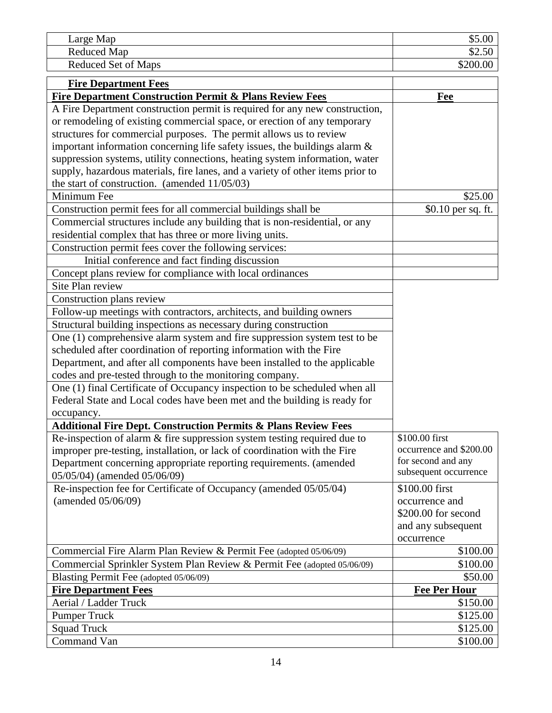| Large Map           | ሐ ፫<br>JD. J |
|---------------------|--------------|
| Reduced Map         | 94.JU        |
| Reduced Set of Maps | \$200.00     |

| <b>Fire Department Fees</b>                                                    |                         |
|--------------------------------------------------------------------------------|-------------------------|
| <b>Fire Department Construction Permit &amp; Plans Review Fees</b>             | Fee                     |
| A Fire Department construction permit is required for any new construction,    |                         |
| or remodeling of existing commercial space, or erection of any temporary       |                         |
| structures for commercial purposes. The permit allows us to review             |                         |
| important information concerning life safety issues, the buildings alarm $\&$  |                         |
| suppression systems, utility connections, heating system information, water    |                         |
| supply, hazardous materials, fire lanes, and a variety of other items prior to |                         |
| the start of construction. (amended $11/05/03$ )                               |                         |
| Minimum Fee                                                                    | \$25.00                 |
| Construction permit fees for all commercial buildings shall be                 | \$0.10 per sq. ft.      |
| Commercial structures include any building that is non-residential, or any     |                         |
| residential complex that has three or more living units.                       |                         |
| Construction permit fees cover the following services:                         |                         |
| Initial conference and fact finding discussion                                 |                         |
| Concept plans review for compliance with local ordinances                      |                         |
| Site Plan review                                                               |                         |
| Construction plans review                                                      |                         |
| Follow-up meetings with contractors, architects, and building owners           |                         |
| Structural building inspections as necessary during construction               |                         |
| One (1) comprehensive alarm system and fire suppression system test to be      |                         |
| scheduled after coordination of reporting information with the Fire            |                         |
| Department, and after all components have been installed to the applicable     |                         |
| codes and pre-tested through to the monitoring company.                        |                         |
| One (1) final Certificate of Occupancy inspection to be scheduled when all     |                         |
| Federal State and Local codes have been met and the building is ready for      |                         |
| occupancy.                                                                     |                         |
| <b>Additional Fire Dept. Construction Permits &amp; Plans Review Fees</b>      |                         |
| Re-inspection of alarm & fire suppression system testing required due to       | \$100.00 first          |
| improper pre-testing, installation, or lack of coordination with the Fire      | occurrence and \$200.00 |
| Department concerning appropriate reporting requirements. (amended             | for second and any      |
| 05/05/04) (amended 05/06/09)                                                   | subsequent occurrence   |
| Re-inspection fee for Certificate of Occupancy (amended 05/05/04)              | \$100.00 first          |
| (amended 05/06/09)                                                             | occurrence and          |
|                                                                                | \$200.00 for second     |
|                                                                                | and any subsequent      |
|                                                                                | occurrence              |
| Commercial Fire Alarm Plan Review & Permit Fee (adopted 05/06/09)              | \$100.00                |
| Commercial Sprinkler System Plan Review & Permit Fee (adopted 05/06/09)        | \$100.00                |
| Blasting Permit Fee (adopted 05/06/09)                                         | \$50.00                 |
| <b>Fire Department Fees</b>                                                    | <b>Fee Per Hour</b>     |
| Aerial / Ladder Truck                                                          | \$150.00                |
| <b>Pumper Truck</b>                                                            | \$125.00                |
| <b>Squad Truck</b>                                                             | \$125.00                |
| Command Van                                                                    | \$100.00                |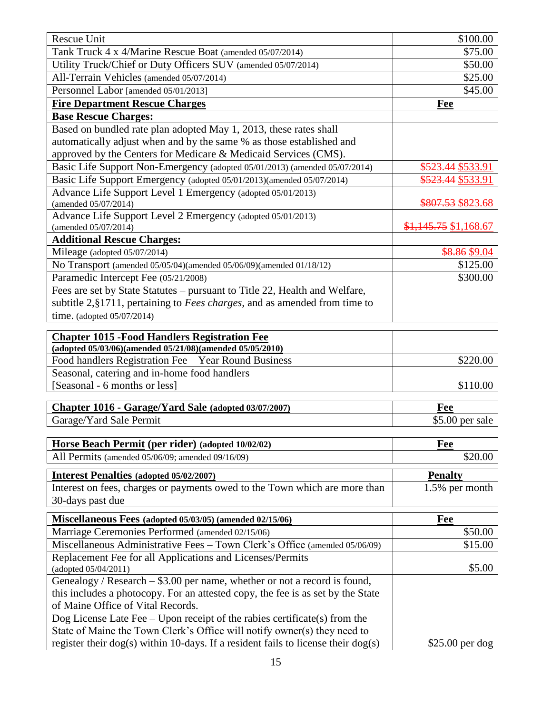| Rescue Unit<br>\$100.00<br>Tank Truck 4 x 4/Marine Rescue Boat (amended 05/07/2014)<br>\$75.00<br>Utility Truck/Chief or Duty Officers SUV (amended 05/07/2014)<br>\$50.00<br>All-Terrain Vehicles (amended 05/07/2014)<br>\$25.00<br>\$45.00<br>Personnel Labor [amended 05/01/2013]<br><b>Fire Department Rescue Charges</b><br>Fee<br><b>Base Rescue Charges:</b><br>Based on bundled rate plan adopted May 1, 2013, these rates shall<br>automatically adjust when and by the same % as those established and<br>approved by the Centers for Medicare & Medicaid Services (CMS).<br>\$523.44 \$533.91<br>Basic Life Support Non-Emergency (adopted 05/01/2013) (amended 05/07/2014)<br>Basic Life Support Emergency (adopted 05/01/2013)(amended 05/07/2014)<br><del>\$523.44</del> \$533.91<br>Advance Life Support Level 1 Emergency (adopted 05/01/2013) |
|-----------------------------------------------------------------------------------------------------------------------------------------------------------------------------------------------------------------------------------------------------------------------------------------------------------------------------------------------------------------------------------------------------------------------------------------------------------------------------------------------------------------------------------------------------------------------------------------------------------------------------------------------------------------------------------------------------------------------------------------------------------------------------------------------------------------------------------------------------------------|
|                                                                                                                                                                                                                                                                                                                                                                                                                                                                                                                                                                                                                                                                                                                                                                                                                                                                 |
|                                                                                                                                                                                                                                                                                                                                                                                                                                                                                                                                                                                                                                                                                                                                                                                                                                                                 |
|                                                                                                                                                                                                                                                                                                                                                                                                                                                                                                                                                                                                                                                                                                                                                                                                                                                                 |
|                                                                                                                                                                                                                                                                                                                                                                                                                                                                                                                                                                                                                                                                                                                                                                                                                                                                 |
|                                                                                                                                                                                                                                                                                                                                                                                                                                                                                                                                                                                                                                                                                                                                                                                                                                                                 |
|                                                                                                                                                                                                                                                                                                                                                                                                                                                                                                                                                                                                                                                                                                                                                                                                                                                                 |
|                                                                                                                                                                                                                                                                                                                                                                                                                                                                                                                                                                                                                                                                                                                                                                                                                                                                 |
|                                                                                                                                                                                                                                                                                                                                                                                                                                                                                                                                                                                                                                                                                                                                                                                                                                                                 |
|                                                                                                                                                                                                                                                                                                                                                                                                                                                                                                                                                                                                                                                                                                                                                                                                                                                                 |
|                                                                                                                                                                                                                                                                                                                                                                                                                                                                                                                                                                                                                                                                                                                                                                                                                                                                 |
|                                                                                                                                                                                                                                                                                                                                                                                                                                                                                                                                                                                                                                                                                                                                                                                                                                                                 |
|                                                                                                                                                                                                                                                                                                                                                                                                                                                                                                                                                                                                                                                                                                                                                                                                                                                                 |
| \$807.53 \$823.68<br>(amended 05/07/2014)                                                                                                                                                                                                                                                                                                                                                                                                                                                                                                                                                                                                                                                                                                                                                                                                                       |
| Advance Life Support Level 2 Emergency (adopted 05/01/2013)                                                                                                                                                                                                                                                                                                                                                                                                                                                                                                                                                                                                                                                                                                                                                                                                     |
| $$1,145.75$ \$1,168.67<br>(amended 05/07/2014)                                                                                                                                                                                                                                                                                                                                                                                                                                                                                                                                                                                                                                                                                                                                                                                                                  |
| <b>Additional Rescue Charges:</b>                                                                                                                                                                                                                                                                                                                                                                                                                                                                                                                                                                                                                                                                                                                                                                                                                               |
| Mileage (adopted 05/07/2014)<br>\$8.86 \$9.04                                                                                                                                                                                                                                                                                                                                                                                                                                                                                                                                                                                                                                                                                                                                                                                                                   |
| \$125.00<br>No Transport (amended 05/05/04)(amended 05/06/09)(amended 01/18/12)                                                                                                                                                                                                                                                                                                                                                                                                                                                                                                                                                                                                                                                                                                                                                                                 |
| Paramedic Intercept Fee (05/21/2008)<br>\$300.00                                                                                                                                                                                                                                                                                                                                                                                                                                                                                                                                                                                                                                                                                                                                                                                                                |
| Fees are set by State Statutes - pursuant to Title 22, Health and Welfare,                                                                                                                                                                                                                                                                                                                                                                                                                                                                                                                                                                                                                                                                                                                                                                                      |
| subtitle 2, §1711, pertaining to <i>Fees charges</i> , and as amended from time to                                                                                                                                                                                                                                                                                                                                                                                                                                                                                                                                                                                                                                                                                                                                                                              |
| time. (adopted $05/07/2014$ )                                                                                                                                                                                                                                                                                                                                                                                                                                                                                                                                                                                                                                                                                                                                                                                                                                   |
| <b>Chapter 1015 - Food Handlers Registration Fee</b><br>(adopted 05/03/06)(amended 05/21/08)(amended 05/05/2010)                                                                                                                                                                                                                                                                                                                                                                                                                                                                                                                                                                                                                                                                                                                                                |
| Food handlers Registration Fee - Year Round Business<br>\$220.00                                                                                                                                                                                                                                                                                                                                                                                                                                                                                                                                                                                                                                                                                                                                                                                                |
| Seasonal, catering and in-home food handlers                                                                                                                                                                                                                                                                                                                                                                                                                                                                                                                                                                                                                                                                                                                                                                                                                    |
| [Seasonal - 6 months or less]<br>\$110.00                                                                                                                                                                                                                                                                                                                                                                                                                                                                                                                                                                                                                                                                                                                                                                                                                       |
|                                                                                                                                                                                                                                                                                                                                                                                                                                                                                                                                                                                                                                                                                                                                                                                                                                                                 |
| Chapter 1016 - Garage/Yard Sale (adopted 03/07/2007)<br>Fee                                                                                                                                                                                                                                                                                                                                                                                                                                                                                                                                                                                                                                                                                                                                                                                                     |
| Garage/Yard Sale Permit<br>$$5.00$ per sale                                                                                                                                                                                                                                                                                                                                                                                                                                                                                                                                                                                                                                                                                                                                                                                                                     |
|                                                                                                                                                                                                                                                                                                                                                                                                                                                                                                                                                                                                                                                                                                                                                                                                                                                                 |
| Horse Beach Permit (per rider) (adopted 10/02/02)<br>Fee                                                                                                                                                                                                                                                                                                                                                                                                                                                                                                                                                                                                                                                                                                                                                                                                        |
| \$20.00<br>All Permits (amended 05/06/09; amended 09/16/09)                                                                                                                                                                                                                                                                                                                                                                                                                                                                                                                                                                                                                                                                                                                                                                                                     |
| <b>Interest Penalties (adopted 05/02/2007)</b><br><b>Penalty</b>                                                                                                                                                                                                                                                                                                                                                                                                                                                                                                                                                                                                                                                                                                                                                                                                |
| Interest on fees, charges or payments owed to the Town which are more than<br>1.5% per month                                                                                                                                                                                                                                                                                                                                                                                                                                                                                                                                                                                                                                                                                                                                                                    |
| 30-days past due                                                                                                                                                                                                                                                                                                                                                                                                                                                                                                                                                                                                                                                                                                                                                                                                                                                |
| Miscellaneous Fees (adopted 05/03/05) (amended 02/15/06)<br>Fee                                                                                                                                                                                                                                                                                                                                                                                                                                                                                                                                                                                                                                                                                                                                                                                                 |
| Marriage Ceremonies Performed (amended 02/15/06)<br>\$50.00                                                                                                                                                                                                                                                                                                                                                                                                                                                                                                                                                                                                                                                                                                                                                                                                     |
| Miscellaneous Administrative Fees - Town Clerk's Office (amended 05/06/09)<br>\$15.00                                                                                                                                                                                                                                                                                                                                                                                                                                                                                                                                                                                                                                                                                                                                                                           |
| Replacement Fee for all Applications and Licenses/Permits                                                                                                                                                                                                                                                                                                                                                                                                                                                                                                                                                                                                                                                                                                                                                                                                       |
| \$5.00<br>(adopted 05/04/2011)                                                                                                                                                                                                                                                                                                                                                                                                                                                                                                                                                                                                                                                                                                                                                                                                                                  |
| Genealogy / Research $-$ \$3.00 per name, whether or not a record is found,                                                                                                                                                                                                                                                                                                                                                                                                                                                                                                                                                                                                                                                                                                                                                                                     |
|                                                                                                                                                                                                                                                                                                                                                                                                                                                                                                                                                                                                                                                                                                                                                                                                                                                                 |
| this includes a photocopy. For an attested copy, the fee is as set by the State                                                                                                                                                                                                                                                                                                                                                                                                                                                                                                                                                                                                                                                                                                                                                                                 |
| of Maine Office of Vital Records.<br>Dog License Late Fee $-$ Upon receipt of the rabies certificate(s) from the                                                                                                                                                                                                                                                                                                                                                                                                                                                                                                                                                                                                                                                                                                                                                |

register their dog(s) within 10-days. If a resident fails to license their dog(s)  $$25.00$  per dog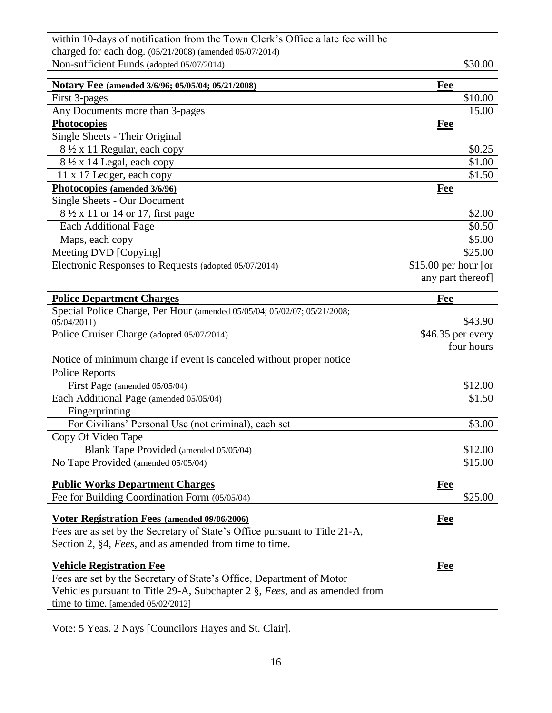| within 10-days of notification from the Town Clerk's Office a late fee will be |         |
|--------------------------------------------------------------------------------|---------|
| charged for each dog. $(05/21/2008)$ (amended $05/07/2014$ )                   |         |
| Non-sufficient Funds (adopted 05/07/2014)                                      | \$30.00 |

| Notary Fee (amended 3/6/96; 05/05/04; 05/21/2008)     | Fee                   |
|-------------------------------------------------------|-----------------------|
| First 3-pages                                         | \$10.00               |
| Any Documents more than 3-pages                       | 15.00                 |
| <b>Photocopies</b>                                    | Fee                   |
| Single Sheets - Their Original                        |                       |
| $8\frac{1}{2}$ x 11 Regular, each copy                | \$0.25                |
| $8\frac{1}{2}$ x 14 Legal, each copy                  | \$1.00                |
| 11 x 17 Ledger, each copy                             | \$1.50                |
| Photocopies (amended 3/6/96)                          | Fee                   |
| Single Sheets - Our Document                          |                       |
| 8 1/2 x 11 or 14 or 17, first page                    | \$2.00                |
| <b>Each Additional Page</b>                           | \$0.50                |
| Maps, each copy                                       | \$5.00                |
| Meeting DVD [Copying]                                 | \$25.00               |
| Electronic Responses to Requests (adopted 05/07/2014) | $$15.00$ per hour [or |
|                                                       | any part thereof      |

| Fee                |
|--------------------|
|                    |
| \$43.90            |
| $$46.35$ per every |
| four hours         |
|                    |
|                    |
| \$12.00            |
| \$1.50             |
|                    |
| \$3.00             |
|                    |
| \$12.00            |
| \$15.00            |
|                    |

| <b>Public Works Department Charges</b>        | Fee |
|-----------------------------------------------|-----|
| Fee for Building Coordination Form (05/05/04) |     |

| Voter Registration Fees (amended 09/06/2006)                               | Fee |
|----------------------------------------------------------------------------|-----|
| Fees are as set by the Secretary of State's Office pursuant to Title 21-A, |     |
| Section 2, §4, Fees, and as amended from time to time.                     |     |

| <b>Vehicle Registration Fee</b>                                            | Fee |
|----------------------------------------------------------------------------|-----|
| Fees are set by the Secretary of State's Office, Department of Motor       |     |
| Vehicles pursuant to Title 29-A, Subchapter 2 §, Fees, and as amended from |     |
| time to time. [amended $05/02/2012$ ]                                      |     |

Vote: 5 Yeas. 2 Nays [Councilors Hayes and St. Clair].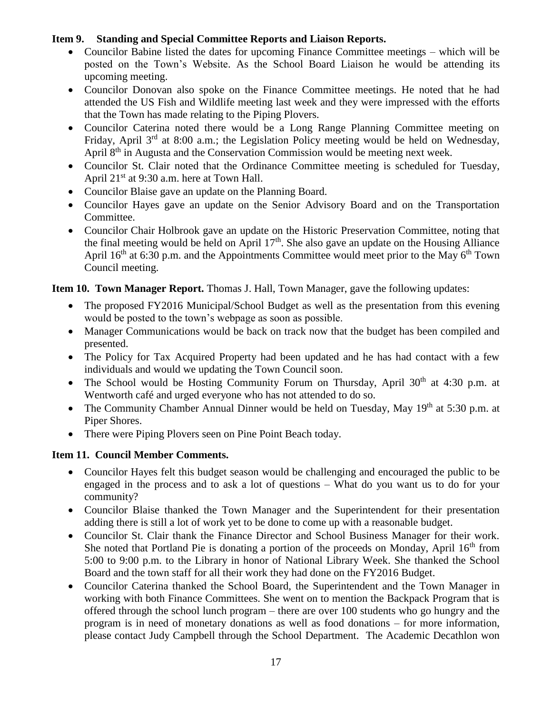### **Item 9. Standing and Special Committee Reports and Liaison Reports.**

- Councilor Babine listed the dates for upcoming Finance Committee meetings which will be posted on the Town's Website. As the School Board Liaison he would be attending its upcoming meeting.
- Councilor Donovan also spoke on the Finance Committee meetings. He noted that he had attended the US Fish and Wildlife meeting last week and they were impressed with the efforts that the Town has made relating to the Piping Plovers.
- Councilor Caterina noted there would be a Long Range Planning Committee meeting on Friday, April  $3^{rd}$  at 8:00 a.m.; the Legislation Policy meeting would be held on Wednesday, April 8<sup>th</sup> in Augusta and the Conservation Commission would be meeting next week.
- Councilor St. Clair noted that the Ordinance Committee meeting is scheduled for Tuesday, April 21<sup>st</sup> at 9:30 a.m. here at Town Hall.
- Councilor Blaise gave an update on the Planning Board.
- Councilor Hayes gave an update on the Senior Advisory Board and on the Transportation Committee.
- Councilor Chair Holbrook gave an update on the Historic Preservation Committee, noting that the final meeting would be held on April  $17<sup>th</sup>$ . She also gave an update on the Housing Alliance April 16<sup>th</sup> at 6:30 p.m. and the Appointments Committee would meet prior to the May 6<sup>th</sup> Town Council meeting.

### **Item 10. Town Manager Report.** Thomas J. Hall, Town Manager, gave the following updates:

- The proposed FY2016 Municipal/School Budget as well as the presentation from this evening would be posted to the town's webpage as soon as possible.
- Manager Communications would be back on track now that the budget has been compiled and presented.
- The Policy for Tax Acquired Property had been updated and he has had contact with a few individuals and would we updating the Town Council soon.
- The School would be Hosting Community Forum on Thursday, April  $30<sup>th</sup>$  at 4:30 p.m. at Wentworth café and urged everyone who has not attended to do so.
- The Community Chamber Annual Dinner would be held on Tuesday, May 19<sup>th</sup> at 5:30 p.m. at Piper Shores.
- There were Piping Plovers seen on Pine Point Beach today.

# **Item 11. Council Member Comments.**

- Councilor Hayes felt this budget season would be challenging and encouraged the public to be engaged in the process and to ask a lot of questions – What do you want us to do for your community?
- Councilor Blaise thanked the Town Manager and the Superintendent for their presentation adding there is still a lot of work yet to be done to come up with a reasonable budget.
- Councilor St. Clair thank the Finance Director and School Business Manager for their work. She noted that Portland Pie is donating a portion of the proceeds on Monday, April  $16<sup>th</sup>$  from 5:00 to 9:00 p.m. to the Library in honor of National Library Week. She thanked the School Board and the town staff for all their work they had done on the FY2016 Budget.
- Councilor Caterina thanked the School Board, the Superintendent and the Town Manager in working with both Finance Committees. She went on to mention the Backpack Program that is offered through the school lunch program – there are over 100 students who go hungry and the program is in need of monetary donations as well as food donations – for more information, please contact Judy Campbell through the School Department. The Academic Decathlon won